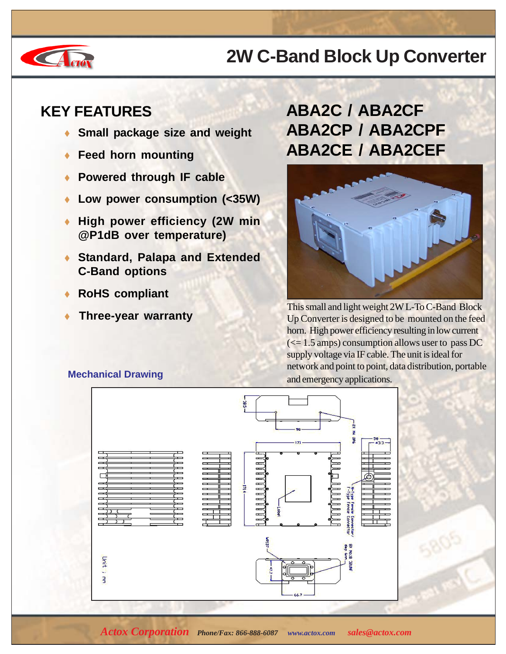# **CA** CHON

### **2W C-Band Block Up Converter**

#### **KEY FEATURES**

- **Small package size and weight**
- **Feed horn mounting**
- **Powered through IF cable**
- Low power consumption (<35W)
- **High power efficiency (2W min @P1dB over temperature)**
- ♦ **Standard, Palapa and Extended C-Band options**
- **RoHS compliant**
- 

#### **ABA2C / ABA2CF ABA2CP / ABA2CPF ABA2CE / ABA2CEF**



**This small and light weight 2W L-To C-Band Block**<br>In Converter is designed to be mounted on the feed Up Converter is designed to be mounted on the feed horn. High power efficiency resulting in low current  $\approx$  1.5 amps) consumption allows user to pass DC supply voltage via IF cable. The unit is ideal for network and point to point, data distribution, portable **Mechanical Drawing**<br>and emergency applications.